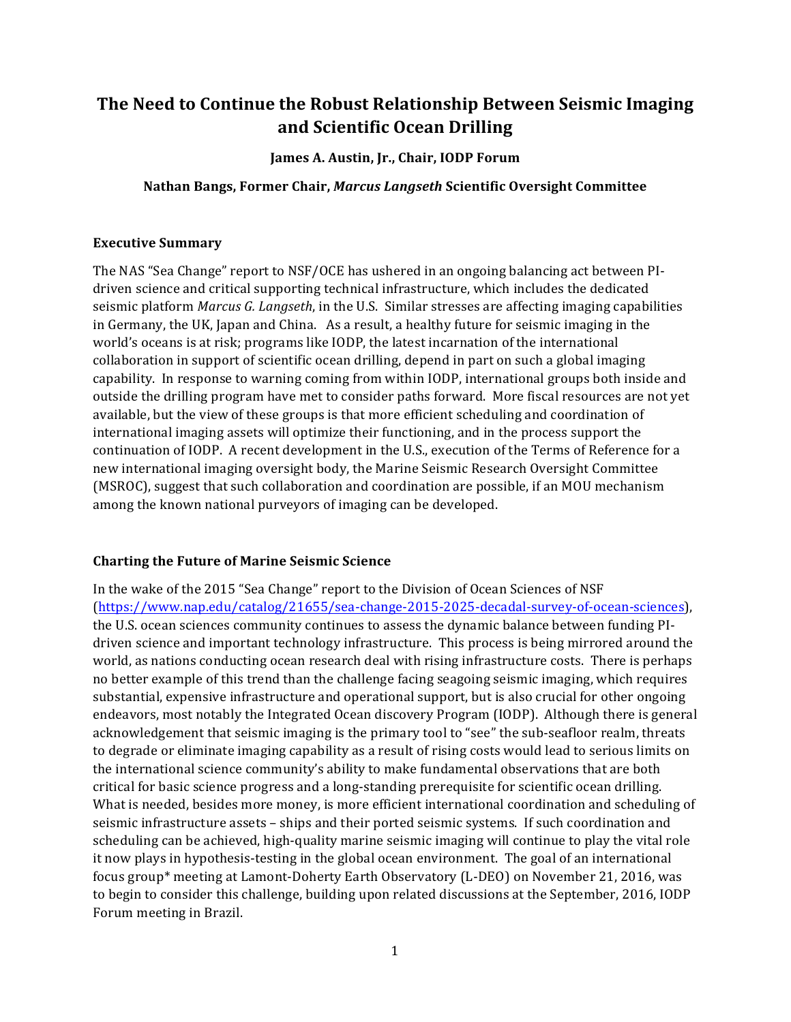# **The Need to Continue the Robust Relationship Between Seismic Imaging and Scientific Ocean Drilling**

#### James A. Austin, Jr., Chair, IODP Forum

#### **Nathan Bangs, Former Chair,** *Marcus Langseth* **Scientific Oversight Committee**

#### **Executive Summary**

The NAS "Sea Change" report to NSF/OCE has ushered in an ongoing balancing act between PIdriven science and critical supporting technical infrastructure, which includes the dedicated seismic platform *Marcus G. Langseth*, in the U.S. Similar stresses are affecting imaging capabilities in Germany, the UK, Japan and China. As a result, a healthy future for seismic imaging in the world's oceans is at risk; programs like IODP, the latest incarnation of the international collaboration in support of scientific ocean drilling, depend in part on such a global imaging capability. In response to warning coming from within IODP, international groups both inside and outside the drilling program have met to consider paths forward. More fiscal resources are not yet available, but the view of these groups is that more efficient scheduling and coordination of international imaging assets will optimize their functioning, and in the process support the continuation of IODP. A recent development in the U.S., execution of the Terms of Reference for a new international imaging oversight body, the Marine Seismic Research Oversight Committee (MSROC), suggest that such collaboration and coordination are possible, if an MOU mechanism among the known national purveyors of imaging can be developed.

# **Charting the Future of Marine Seismic Science**

In the wake of the 2015 "Sea Change" report to the Division of Ocean Sciences of NSF (https://www.nap.edu/catalog/21655/sea-change-2015-2025-decadal-survey-of-ocean-sciences), the U.S. ocean sciences community continues to assess the dynamic balance between funding PIdriven science and important technology infrastructure. This process is being mirrored around the world, as nations conducting ocean research deal with rising infrastructure costs. There is perhaps no better example of this trend than the challenge facing seagoing seismic imaging, which requires substantial, expensive infrastructure and operational support, but is also crucial for other ongoing endeavors, most notably the Integrated Ocean discovery Program (IODP). Although there is general acknowledgement that seismic imaging is the primary tool to "see" the sub-seafloor realm, threats to degrade or eliminate imaging capability as a result of rising costs would lead to serious limits on the international science community's ability to make fundamental observations that are both critical for basic science progress and a long-standing prerequisite for scientific ocean drilling. What is needed, besides more money, is more efficient international coordination and scheduling of seismic infrastructure assets - ships and their ported seismic systems. If such coordination and scheduling can be achieved, high-quality marine seismic imaging will continue to play the vital role it now plays in hypothesis-testing in the global ocean environment. The goal of an international focus group\* meeting at Lamont-Doherty Earth Observatory (L-DEO) on November 21, 2016, was to begin to consider this challenge, building upon related discussions at the September, 2016, IODP Forum meeting in Brazil.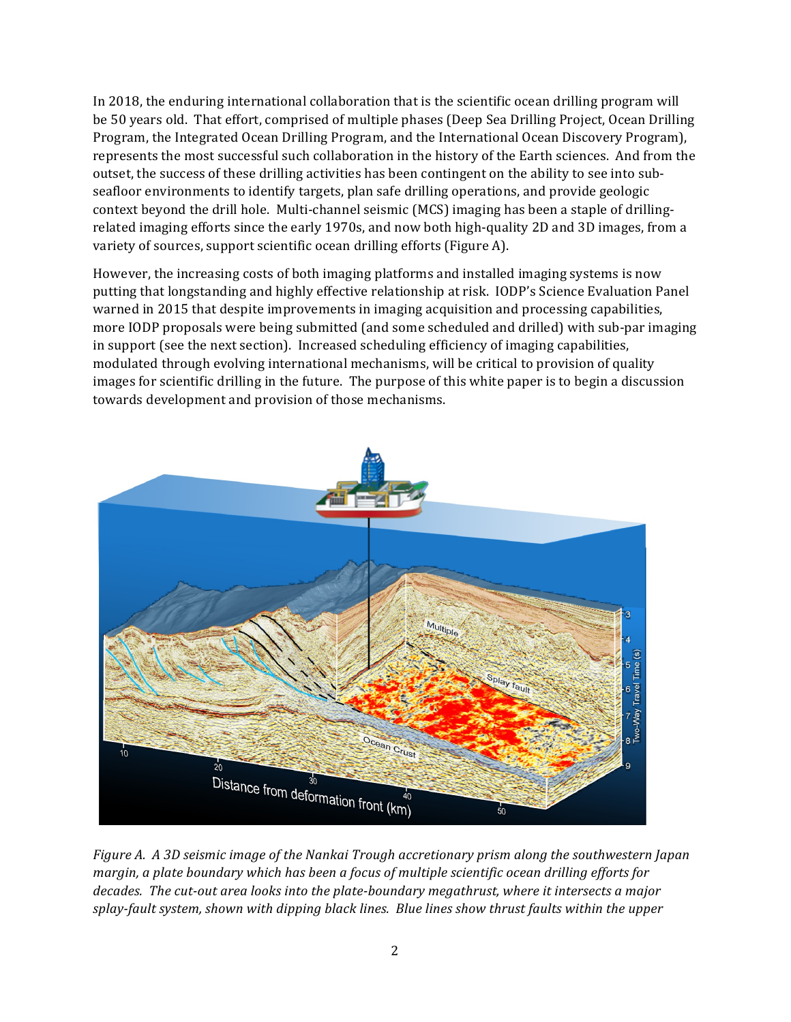In 2018, the enduring international collaboration that is the scientific ocean drilling program will be 50 years old. That effort, comprised of multiple phases (Deep Sea Drilling Project, Ocean Drilling Program, the Integrated Ocean Drilling Program, and the International Ocean Discovery Program), represents the most successful such collaboration in the history of the Earth sciences. And from the outset, the success of these drilling activities has been contingent on the ability to see into subseafloor environments to identify targets, plan safe drilling operations, and provide geologic context beyond the drill hole. Multi-channel seismic (MCS) imaging has been a staple of drillingrelated imaging efforts since the early 1970s, and now both high-quality 2D and 3D images, from a variety of sources, support scientific ocean drilling efforts (Figure A).

However, the increasing costs of both imaging platforms and installed imaging systems is now putting that longstanding and highly effective relationship at risk. IODP's Science Evaluation Panel warned in 2015 that despite improvements in imaging acquisition and processing capabilities, more IODP proposals were being submitted (and some scheduled and drilled) with sub-par imaging in support (see the next section). Increased scheduling efficiency of imaging capabilities, modulated through evolving international mechanisms, will be critical to provision of quality images for scientific drilling in the future. The purpose of this white paper is to begin a discussion towards development and provision of those mechanisms.



*Figure A. A 3D seismic image of the Nankai Trough accretionary prism along the southwestern Japan margin, a plate boundary which has been a focus of multiple scientific ocean drilling efforts for* decades. The cut-out area looks into the plate-boundary megathrust, where it intersects a major splay-fault system, shown with dipping black lines. Blue lines show thrust faults within the upper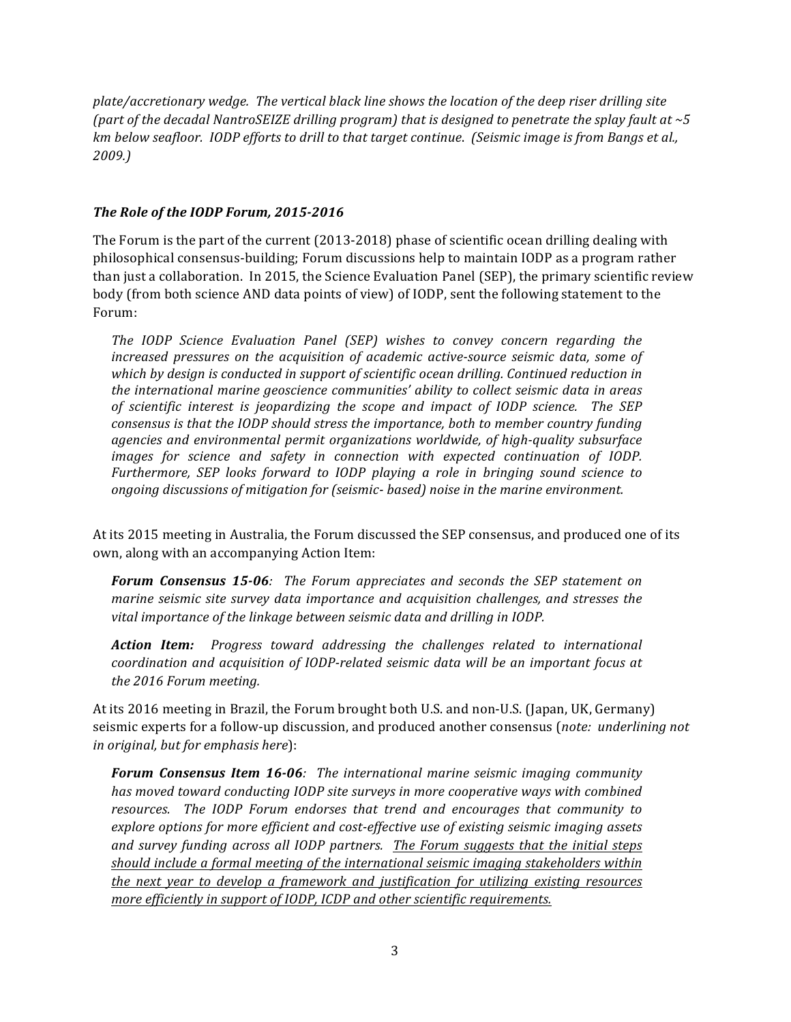plate/accretionary wedge. The vertical black line shows the location of the deep riser drilling site *(part of the decadal NantroSEIZE drilling program) that is designed to penetrate the splay fault at ~5 km* below seafloor. *IODP* efforts to drill to that target continue. (Seismic image is from Bangs et al., *2009.)*

# The Role of the IODP Forum, 2015-2016

The Forum is the part of the current  $(2013-2018)$  phase of scientific ocean drilling dealing with philosophical consensus-building; Forum discussions help to maintain IODP as a program rather than just a collaboration. In 2015, the Science Evaluation Panel (SEP), the primary scientific review body (from both science AND data points of view) of IODP, sent the following statement to the Forum:

*The IODP Science Evaluation Panel (SEP)* wishes to *convey concern* regarding the *increased pressures on the acquisition of academic active-source seismic data, some of* which by design is conducted in support of scientific ocean drilling. Continued reduction in *the international marine geoscience communities' ability to collect seismic data in areas of scientific interest is jeopardizing the scope and impact of IODP science. The SEP consensus* is that the IODP should stress the importance, both to member country funding *agencies and environmental permit organizations worldwide, of high-quality subsurface images for science and safety in connection with expected continuation of IODP. Furthermore, SEP looks forward to IODP playing a role in bringing sound science to ongoing discussions of mitigation for (seismic- based) noise in the marine environment.*

At its 2015 meeting in Australia, the Forum discussed the SEP consensus, and produced one of its own, along with an accompanying Action Item:

**Forum Consensus 15-06***:* The Forum appreciates and seconds the SEP statement on *marine seismic site survey data importance and acquisition challenges, and stresses the* vital importance of the linkage between seismic data and drilling in IODP.

**Action Item:** Progress toward addressing the challenges related to international *coordination and acquisition of IODP-related seismic data will be an important focus at the 2016 Forum meeting.*

At its 2016 meeting in Brazil, the Forum brought both U.S. and non-U.S. (Japan, UK, Germany) seismic experts for a follow-up discussion, and produced another consensus (*note: underlining not in* original, but for emphasis here):

**Forum Consensus Item 16-06**: The international marine seismic imaging community *has moved toward conducting IODP site surveys in more cooperative ways with combined* resources. The IODP Forum endorses that trend and encourages that community to explore options for more efficient and cost-effective use of existing seismic imaging assets *and survey funding across all IODP partners. The Forum suggests that the initial steps should include a formal meeting of the international seismic imaging stakeholders within the next year to develop a framework and justification for utilizing existing resources more efficiently in support of IODP, ICDP and other scientific requirements.*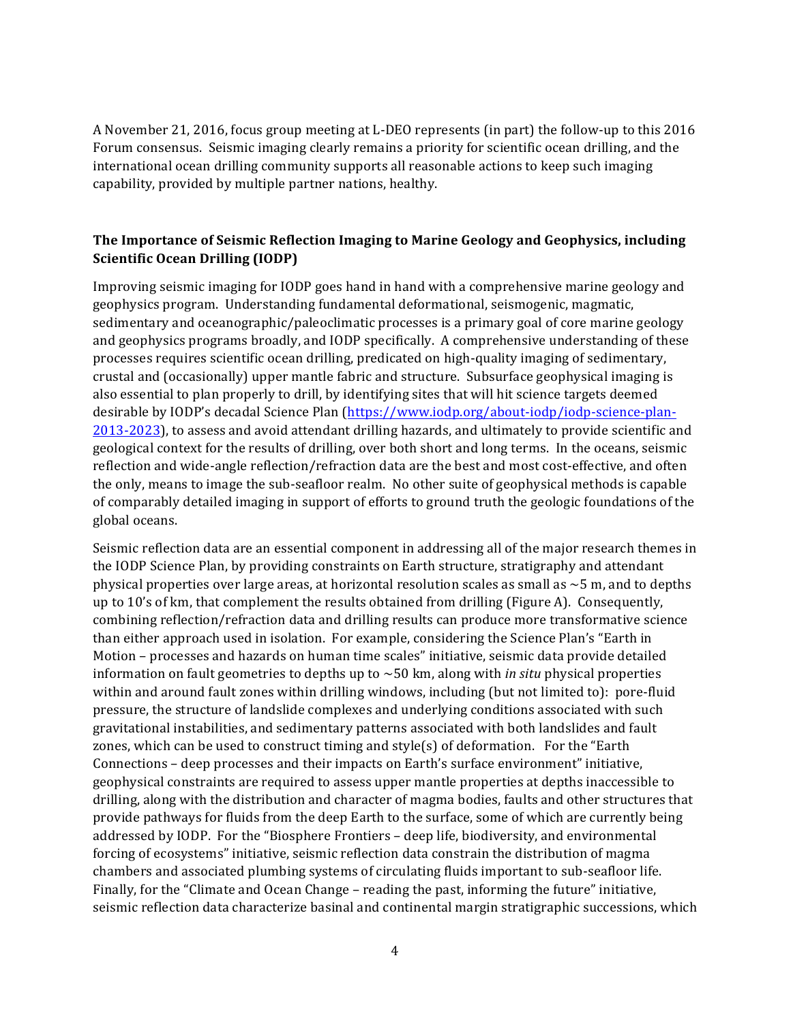A November 21, 2016, focus group meeting at L-DEO represents (in part) the follow-up to this 2016 Forum consensus. Seismic imaging clearly remains a priority for scientific ocean drilling, and the international ocean drilling community supports all reasonable actions to keep such imaging capability, provided by multiple partner nations, healthy.

# The Importance of Seismic Reflection Imaging to Marine Geology and Geophysics, including **Scientific Ocean Drilling (IODP)**

Improving seismic imaging for IODP goes hand in hand with a comprehensive marine geology and geophysics program. Understanding fundamental deformational, seismogenic, magmatic, sedimentary and oceanographic/paleoclimatic processes is a primary goal of core marine geology and geophysics programs broadly, and IODP specifically. A comprehensive understanding of these processes requires scientific ocean drilling, predicated on high-quality imaging of sedimentary, crustal and (occasionally) upper mantle fabric and structure. Subsurface geophysical imaging is also essential to plan properly to drill, by identifying sites that will hit science targets deemed desirable by IODP's decadal Science Plan (https://www.iodp.org/about-iodp/iodp-science-plan-2013-2023), to assess and avoid attendant drilling hazards, and ultimately to provide scientific and geological context for the results of drilling, over both short and long terms. In the oceans, seismic reflection and wide-angle reflection/refraction data are the best and most cost-effective, and often the only, means to image the sub-seafloor realm. No other suite of geophysical methods is capable of comparably detailed imaging in support of efforts to ground truth the geologic foundations of the global oceans.

Seismic reflection data are an essential component in addressing all of the major research themes in the IODP Science Plan, by providing constraints on Earth structure, stratigraphy and attendant physical properties over large areas, at horizontal resolution scales as small as  $\sim$  5 m, and to depths up to  $10$ 's of km, that complement the results obtained from drilling (Figure A). Consequently, combining reflection/refraction data and drilling results can produce more transformative science than either approach used in isolation. For example, considering the Science Plan's "Earth in Motion – processes and hazards on human time scales" initiative, seismic data provide detailed information on fault geometries to depths up to  $\sim$  50 km, along with *in situ* physical properties within and around fault zones within drilling windows, including (but not limited to): pore-fluid pressure, the structure of landslide complexes and underlying conditions associated with such gravitational instabilities, and sedimentary patterns associated with both landslides and fault zones, which can be used to construct timing and style(s) of deformation. For the "Earth" Connections – deep processes and their impacts on Earth's surface environment" initiative, geophysical constraints are required to assess upper mantle properties at depths inaccessible to drilling, along with the distribution and character of magma bodies, faults and other structures that provide pathways for fluids from the deep Earth to the surface, some of which are currently being addressed by IODP. For the "Biosphere Frontiers - deep life, biodiversity, and environmental forcing of ecosystems" initiative, seismic reflection data constrain the distribution of magma chambers and associated plumbing systems of circulating fluids important to sub-seafloor life. Finally, for the "Climate and Ocean Change – reading the past, informing the future" initiative, seismic reflection data characterize basinal and continental margin stratigraphic successions, which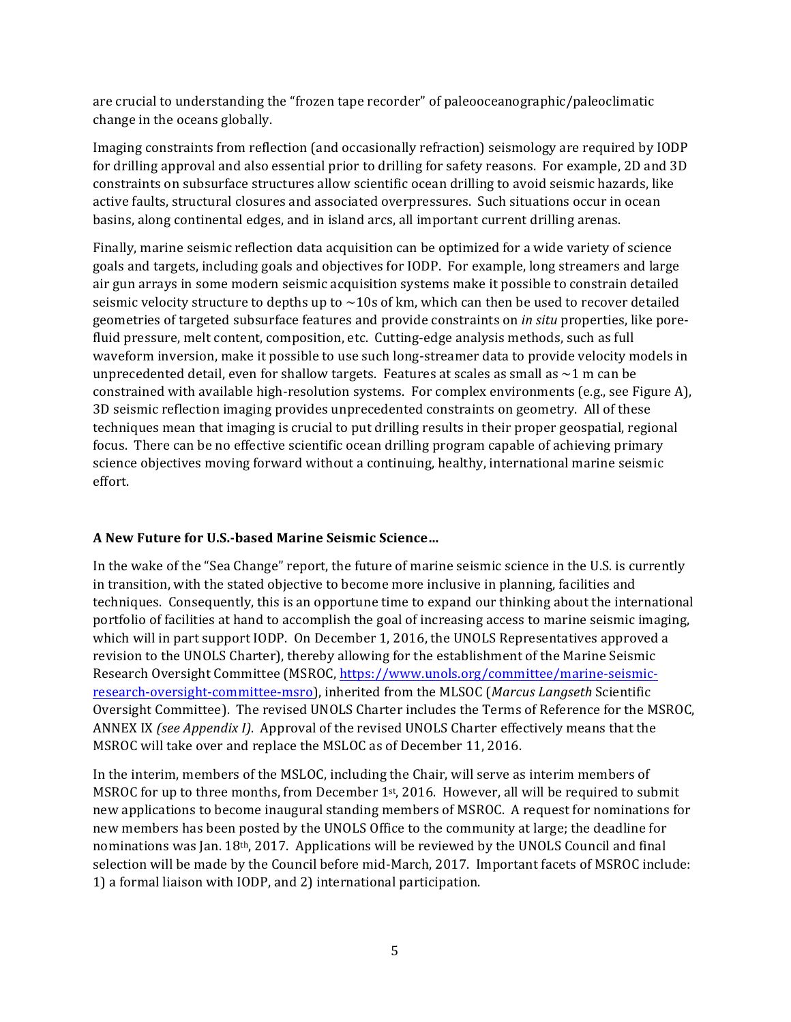are crucial to understanding the "frozen tape recorder" of paleooceanographic/paleoclimatic change in the oceans globally.

Imaging constraints from reflection (and occasionally refraction) seismology are required by IODP for drilling approval and also essential prior to drilling for safety reasons. For example, 2D and 3D constraints on subsurface structures allow scientific ocean drilling to avoid seismic hazards, like active faults, structural closures and associated overpressures. Such situations occur in ocean basins, along continental edges, and in island arcs, all important current drilling arenas.

Finally, marine seismic reflection data acquisition can be optimized for a wide variety of science goals and targets, including goals and objectives for IODP. For example, long streamers and large air gun arrays in some modern seismic acquisition systems make it possible to constrain detailed seismic velocity structure to depths up to  $\sim$ 10s of km, which can then be used to recover detailed geometries of targeted subsurface features and provide constraints on *in situ* properties, like porefluid pressure, melt content, composition, etc. Cutting-edge analysis methods, such as full waveform inversion, make it possible to use such long-streamer data to provide velocity models in unprecedented detail, even for shallow targets. Features at scales as small as  $\sim$ 1 m can be constrained with available high-resolution systems. For complex environments (e.g., see Figure A), 3D seismic reflection imaging provides unprecedented constraints on geometry. All of these techniques mean that imaging is crucial to put drilling results in their proper geospatial, regional focus. There can be no effective scientific ocean drilling program capable of achieving primary science objectives moving forward without a continuing, healthy, international marine seismic effort. 

# **A New Future for U.S.-based Marine Seismic Science…**

In the wake of the "Sea Change" report, the future of marine seismic science in the U.S. is currently in transition, with the stated objective to become more inclusive in planning, facilities and techniques. Consequently, this is an opportune time to expand our thinking about the international portfolio of facilities at hand to accomplish the goal of increasing access to marine seismic imaging, which will in part support IODP. On December 1, 2016, the UNOLS Representatives approved a revision to the UNOLS Charter), thereby allowing for the establishment of the Marine Seismic Research Oversight Committee (MSROC, https://www.unols.org/committee/marine-seismicresearch-oversight-committee-msro), inherited from the MLSOC (*Marcus Langseth* Scientific Oversight Committee). The revised UNOLS Charter includes the Terms of Reference for the MSROC, ANNEX IX *(see Appendix I)*. Approval of the revised UNOLS Charter effectively means that the MSROC will take over and replace the MSLOC as of December 11, 2016.

In the interim, members of the MSLOC, including the Chair, will serve as interim members of MSROC for up to three months, from December  $1<sup>st</sup>$ , 2016. However, all will be required to submit new applications to become inaugural standing members of MSROC. A request for nominations for new members has been posted by the UNOLS Office to the community at large; the deadline for nominations was Jan.  $18<sup>th</sup>$ , 2017. Applications will be reviewed by the UNOLS Council and final selection will be made by the Council before mid-March, 2017. Important facets of MSROC include: 1) a formal liaison with IODP, and 2) international participation.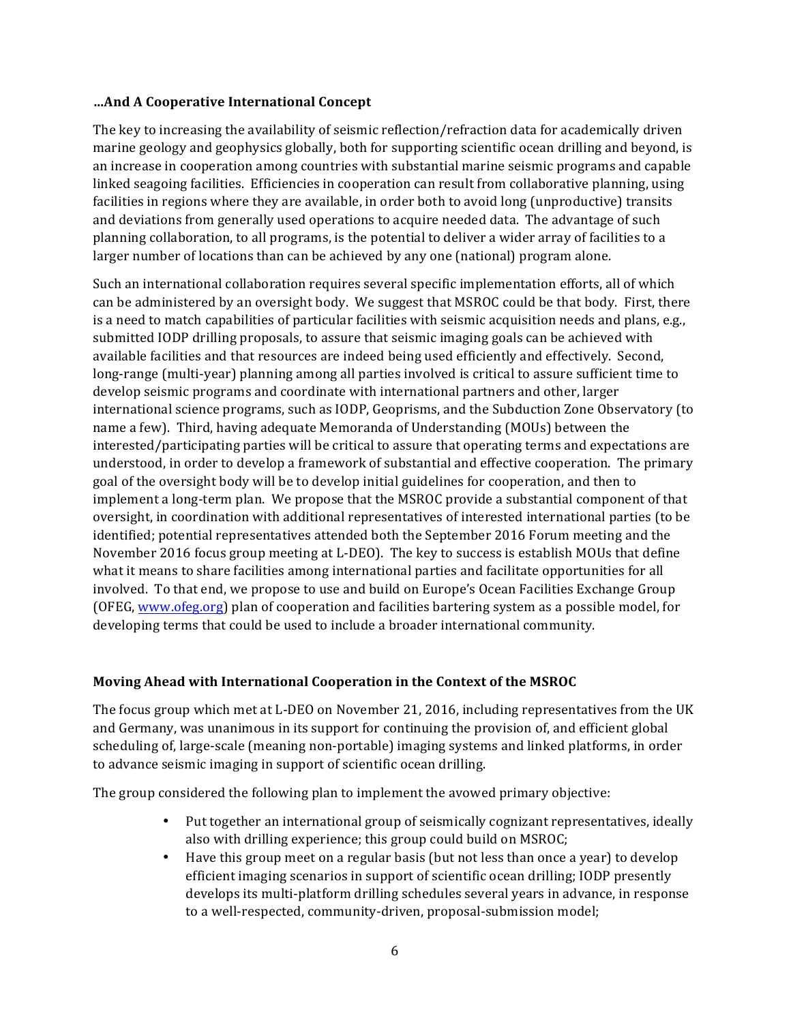#### **…And A Cooperative International Concept**

The key to increasing the availability of seismic reflection/refraction data for academically driven marine geology and geophysics globally, both for supporting scientific ocean drilling and beyond, is an increase in cooperation among countries with substantial marine seismic programs and capable linked seagoing facilities. Efficiencies in cooperation can result from collaborative planning, using facilities in regions where they are available, in order both to avoid long (unproductive) transits and deviations from generally used operations to acquire needed data. The advantage of such planning collaboration, to all programs, is the potential to deliver a wider array of facilities to a larger number of locations than can be achieved by any one (national) program alone.

Such an international collaboration requires several specific implementation efforts, all of which can be administered by an oversight body. We suggest that MSROC could be that body. First, there is a need to match capabilities of particular facilities with seismic acquisition needs and plans, e.g., submitted IODP drilling proposals, to assure that seismic imaging goals can be achieved with available facilities and that resources are indeed being used efficiently and effectively. Second, long-range (multi-year) planning among all parties involved is critical to assure sufficient time to develop seismic programs and coordinate with international partners and other, larger international science programs, such as IODP, Geoprisms, and the Subduction Zone Observatory (to name a few). Third, having adequate Memoranda of Understanding (MOUs) between the interested/participating parties will be critical to assure that operating terms and expectations are understood, in order to develop a framework of substantial and effective cooperation. The primary goal of the oversight body will be to develop initial guidelines for cooperation, and then to implement a long-term plan. We propose that the MSROC provide a substantial component of that oversight, in coordination with additional representatives of interested international parties (to be identified; potential representatives attended both the September 2016 Forum meeting and the November 2016 focus group meeting at L-DEO). The key to success is establish MOUs that define what it means to share facilities among international parties and facilitate opportunities for all involved. To that end, we propose to use and build on Europe's Ocean Facilities Exchange Group (OFEG, www.ofeg.org) plan of cooperation and facilities bartering system as a possible model, for developing terms that could be used to include a broader international community.

# **Moving Ahead with International Cooperation in the Context of the MSROC**

The focus group which met at L-DEO on November 21, 2016, including representatives from the UK and Germany, was unanimous in its support for continuing the provision of, and efficient global scheduling of, large-scale (meaning non-portable) imaging systems and linked platforms, in order to advance seismic imaging in support of scientific ocean drilling.

The group considered the following plan to implement the avowed primary objective:

- Put together an international group of seismically cognizant representatives, ideally also with drilling experience; this group could build on MSROC;
- Have this group meet on a regular basis (but not less than once a year) to develop efficient imaging scenarios in support of scientific ocean drilling; IODP presently develops its multi-platform drilling schedules several years in advance, in response to a well-respected, community-driven, proposal-submission model;